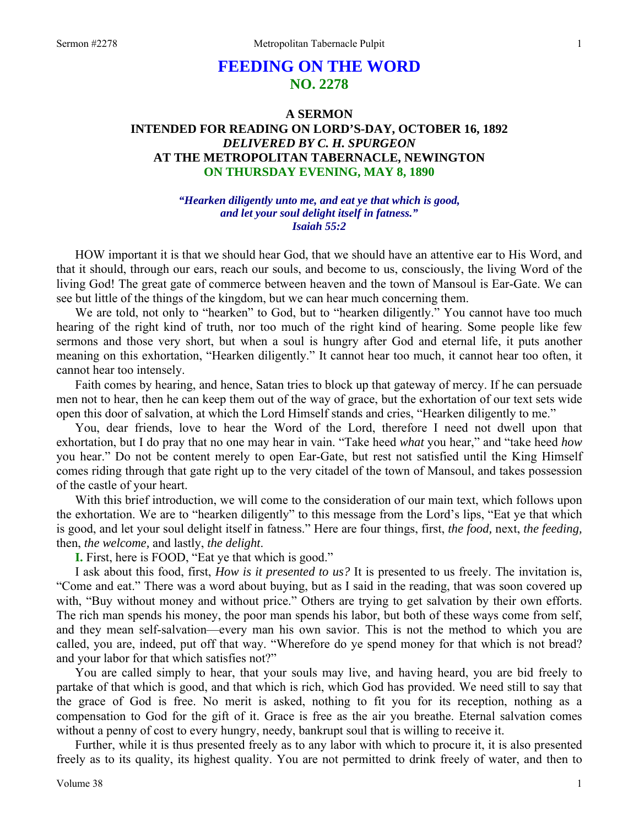# **FEEDING ON THE WORD NO. 2278**

## **A SERMON INTENDED FOR READING ON LORD'S-DAY, OCTOBER 16, 1892**  *DELIVERED BY C. H. SPURGEON*  **AT THE METROPOLITAN TABERNACLE, NEWINGTON ON THURSDAY EVENING, MAY 8, 1890**

### *"Hearken diligently unto me, and eat ye that which is good, and let your soul delight itself in fatness." Isaiah 55:2*

HOW important it is that we should hear God, that we should have an attentive ear to His Word, and that it should, through our ears, reach our souls, and become to us, consciously, the living Word of the living God! The great gate of commerce between heaven and the town of Mansoul is Ear-Gate. We can see but little of the things of the kingdom, but we can hear much concerning them.

We are told, not only to "hearken" to God, but to "hearken diligently." You cannot have too much hearing of the right kind of truth, nor too much of the right kind of hearing. Some people like few sermons and those very short, but when a soul is hungry after God and eternal life, it puts another meaning on this exhortation, "Hearken diligently." It cannot hear too much, it cannot hear too often, it cannot hear too intensely.

Faith comes by hearing, and hence, Satan tries to block up that gateway of mercy. If he can persuade men not to hear, then he can keep them out of the way of grace, but the exhortation of our text sets wide open this door of salvation, at which the Lord Himself stands and cries, "Hearken diligently to me."

You, dear friends, love to hear the Word of the Lord, therefore I need not dwell upon that exhortation, but I do pray that no one may hear in vain. "Take heed *what* you hear," and "take heed *how* you hear." Do not be content merely to open Ear-Gate, but rest not satisfied until the King Himself comes riding through that gate right up to the very citadel of the town of Mansoul, and takes possession of the castle of your heart.

With this brief introduction, we will come to the consideration of our main text, which follows upon the exhortation. We are to "hearken diligently" to this message from the Lord's lips, "Eat ye that which is good, and let your soul delight itself in fatness." Here are four things, first, *the food,* next, *the feeding,* then, *the welcome,* and lastly, *the delight*.

**I.** First, here is FOOD, "Eat ye that which is good."

I ask about this food, first, *How is it presented to us?* It is presented to us freely. The invitation is, "Come and eat." There was a word about buying, but as I said in the reading, that was soon covered up with, "Buy without money and without price." Others are trying to get salvation by their own efforts. The rich man spends his money, the poor man spends his labor, but both of these ways come from self, and they mean self-salvation—every man his own savior. This is not the method to which you are called, you are, indeed, put off that way. "Wherefore do ye spend money for that which is not bread? and your labor for that which satisfies not?"

You are called simply to hear, that your souls may live, and having heard, you are bid freely to partake of that which is good, and that which is rich, which God has provided. We need still to say that the grace of God is free. No merit is asked, nothing to fit you for its reception, nothing as a compensation to God for the gift of it. Grace is free as the air you breathe. Eternal salvation comes without a penny of cost to every hungry, needy, bankrupt soul that is willing to receive it.

Further, while it is thus presented freely as to any labor with which to procure it, it is also presented freely as to its quality, its highest quality. You are not permitted to drink freely of water, and then to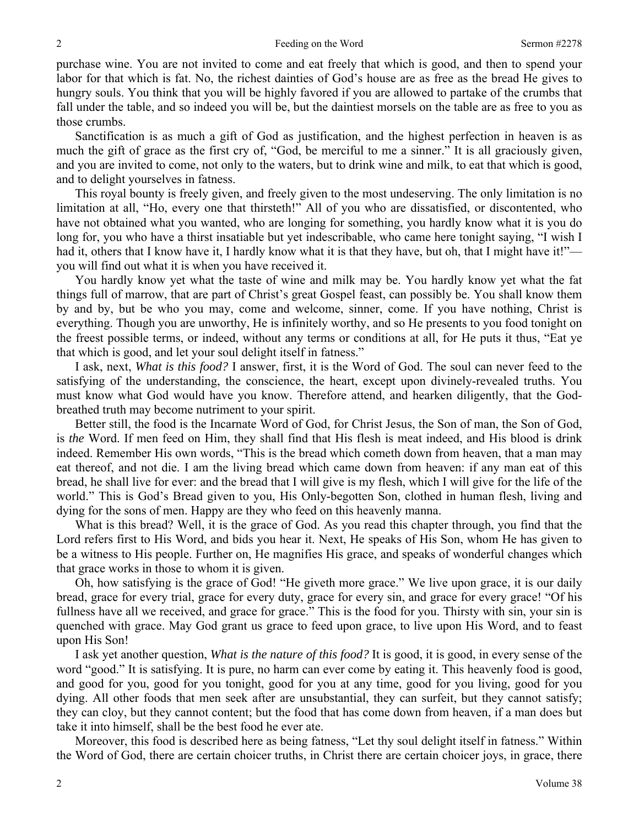purchase wine. You are not invited to come and eat freely that which is good, and then to spend your labor for that which is fat. No, the richest dainties of God's house are as free as the bread He gives to hungry souls. You think that you will be highly favored if you are allowed to partake of the crumbs that fall under the table, and so indeed you will be, but the daintiest morsels on the table are as free to you as those crumbs.

Sanctification is as much a gift of God as justification, and the highest perfection in heaven is as much the gift of grace as the first cry of, "God, be merciful to me a sinner." It is all graciously given, and you are invited to come, not only to the waters, but to drink wine and milk, to eat that which is good, and to delight yourselves in fatness.

This royal bounty is freely given, and freely given to the most undeserving. The only limitation is no limitation at all, "Ho, every one that thirsteth!" All of you who are dissatisfied, or discontented, who have not obtained what you wanted, who are longing for something, you hardly know what it is you do long for, you who have a thirst insatiable but yet indescribable, who came here tonight saying, "I wish I had it, others that I know have it, I hardly know what it is that they have, but oh, that I might have it!"you will find out what it is when you have received it.

You hardly know yet what the taste of wine and milk may be. You hardly know yet what the fat things full of marrow, that are part of Christ's great Gospel feast, can possibly be. You shall know them by and by, but be who you may, come and welcome, sinner, come. If you have nothing, Christ is everything. Though you are unworthy, He is infinitely worthy, and so He presents to you food tonight on the freest possible terms, or indeed, without any terms or conditions at all, for He puts it thus, "Eat ye that which is good, and let your soul delight itself in fatness."

I ask, next, *What is this food?* I answer, first, it is the Word of God. The soul can never feed to the satisfying of the understanding, the conscience, the heart, except upon divinely-revealed truths. You must know what God would have you know. Therefore attend, and hearken diligently, that the Godbreathed truth may become nutriment to your spirit.

Better still, the food is the Incarnate Word of God, for Christ Jesus, the Son of man, the Son of God, is *the* Word. If men feed on Him, they shall find that His flesh is meat indeed, and His blood is drink indeed. Remember His own words, "This is the bread which cometh down from heaven, that a man may eat thereof, and not die. I am the living bread which came down from heaven: if any man eat of this bread, he shall live for ever: and the bread that I will give is my flesh, which I will give for the life of the world." This is God's Bread given to you, His Only-begotten Son, clothed in human flesh, living and dying for the sons of men. Happy are they who feed on this heavenly manna.

What is this bread? Well, it is the grace of God. As you read this chapter through, you find that the Lord refers first to His Word, and bids you hear it. Next, He speaks of His Son, whom He has given to be a witness to His people. Further on, He magnifies His grace, and speaks of wonderful changes which that grace works in those to whom it is given.

Oh, how satisfying is the grace of God! "He giveth more grace." We live upon grace, it is our daily bread, grace for every trial, grace for every duty, grace for every sin, and grace for every grace! "Of his fullness have all we received, and grace for grace." This is the food for you. Thirsty with sin, your sin is quenched with grace. May God grant us grace to feed upon grace, to live upon His Word, and to feast upon His Son!

I ask yet another question, *What is the nature of this food?* It is good, it is good, in every sense of the word "good." It is satisfying. It is pure, no harm can ever come by eating it. This heavenly food is good, and good for you, good for you tonight, good for you at any time, good for you living, good for you dying. All other foods that men seek after are unsubstantial, they can surfeit, but they cannot satisfy; they can cloy, but they cannot content; but the food that has come down from heaven, if a man does but take it into himself, shall be the best food he ever ate.

Moreover, this food is described here as being fatness, "Let thy soul delight itself in fatness." Within the Word of God, there are certain choicer truths, in Christ there are certain choicer joys, in grace, there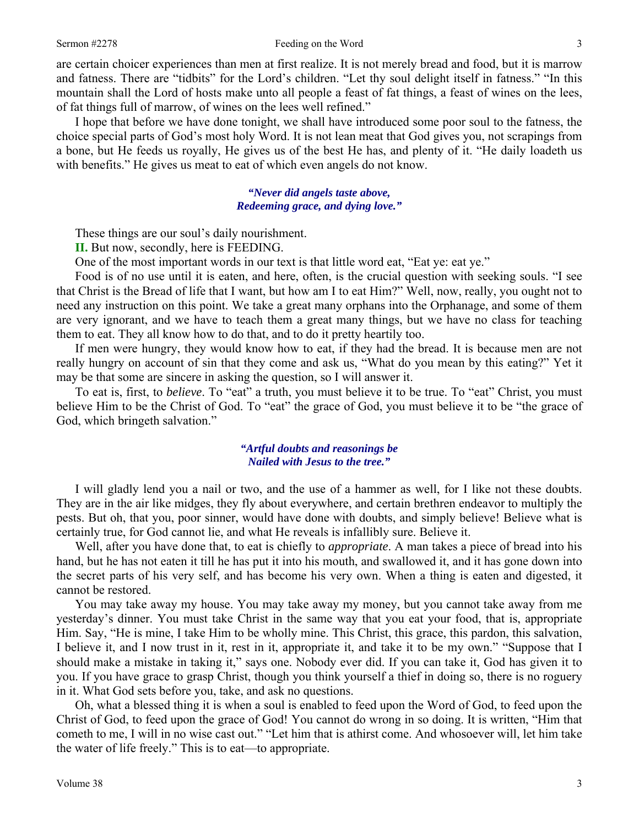are certain choicer experiences than men at first realize. It is not merely bread and food, but it is marrow and fatness. There are "tidbits" for the Lord's children. "Let thy soul delight itself in fatness." "In this mountain shall the Lord of hosts make unto all people a feast of fat things, a feast of wines on the lees, of fat things full of marrow, of wines on the lees well refined."

I hope that before we have done tonight, we shall have introduced some poor soul to the fatness, the choice special parts of God's most holy Word. It is not lean meat that God gives you, not scrapings from a bone, but He feeds us royally, He gives us of the best He has, and plenty of it. "He daily loadeth us with benefits." He gives us meat to eat of which even angels do not know.

> *"Never did angels taste above, Redeeming grace, and dying love."*

These things are our soul's daily nourishment.

**II.** But now, secondly, here is FEEDING.

One of the most important words in our text is that little word eat, "Eat ye: eat ye."

Food is of no use until it is eaten, and here, often, is the crucial question with seeking souls. "I see that Christ is the Bread of life that I want, but how am I to eat Him?" Well, now, really, you ought not to need any instruction on this point. We take a great many orphans into the Orphanage, and some of them are very ignorant, and we have to teach them a great many things, but we have no class for teaching them to eat. They all know how to do that, and to do it pretty heartily too.

If men were hungry, they would know how to eat, if they had the bread. It is because men are not really hungry on account of sin that they come and ask us, "What do you mean by this eating?" Yet it may be that some are sincere in asking the question, so I will answer it.

To eat is, first, to *believe*. To "eat" a truth, you must believe it to be true. To "eat" Christ, you must believe Him to be the Christ of God. To "eat" the grace of God, you must believe it to be "the grace of God, which bringeth salvation."

## *"Artful doubts and reasonings be Nailed with Jesus to the tree."*

I will gladly lend you a nail or two, and the use of a hammer as well, for I like not these doubts. They are in the air like midges, they fly about everywhere, and certain brethren endeavor to multiply the pests. But oh, that you, poor sinner, would have done with doubts, and simply believe! Believe what is certainly true, for God cannot lie, and what He reveals is infallibly sure. Believe it.

Well, after you have done that, to eat is chiefly to *appropriate*. A man takes a piece of bread into his hand, but he has not eaten it till he has put it into his mouth, and swallowed it, and it has gone down into the secret parts of his very self, and has become his very own. When a thing is eaten and digested, it cannot be restored.

You may take away my house. You may take away my money, but you cannot take away from me yesterday's dinner. You must take Christ in the same way that you eat your food, that is, appropriate Him. Say, "He is mine, I take Him to be wholly mine. This Christ, this grace, this pardon, this salvation, I believe it, and I now trust in it, rest in it, appropriate it, and take it to be my own." "Suppose that I should make a mistake in taking it," says one. Nobody ever did. If you can take it, God has given it to you. If you have grace to grasp Christ, though you think yourself a thief in doing so, there is no roguery in it. What God sets before you, take, and ask no questions.

Oh, what a blessed thing it is when a soul is enabled to feed upon the Word of God, to feed upon the Christ of God, to feed upon the grace of God! You cannot do wrong in so doing. It is written, "Him that cometh to me, I will in no wise cast out." "Let him that is athirst come. And whosoever will, let him take the water of life freely." This is to eat—to appropriate.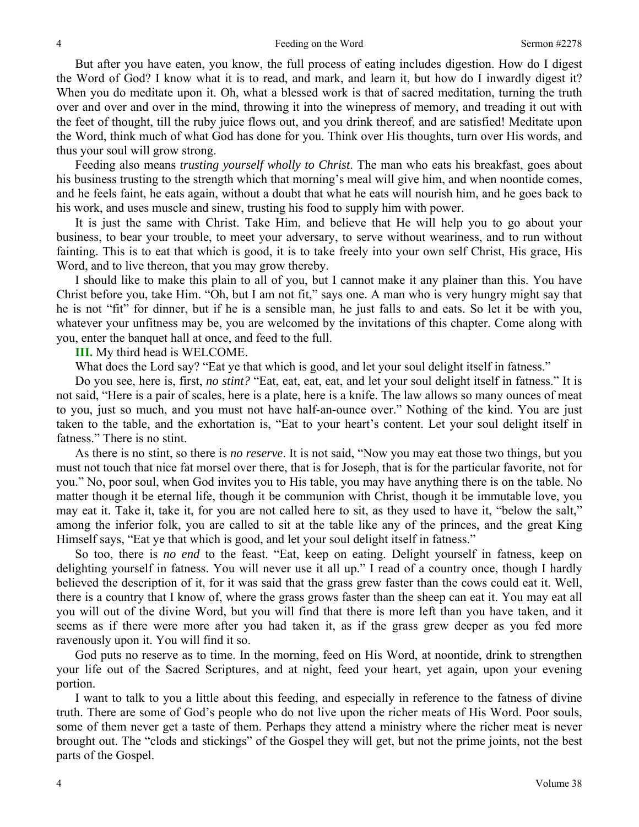But after you have eaten, you know, the full process of eating includes digestion. How do I digest the Word of God? I know what it is to read, and mark, and learn it, but how do I inwardly digest it? When you do meditate upon it. Oh, what a blessed work is that of sacred meditation, turning the truth over and over and over in the mind, throwing it into the winepress of memory, and treading it out with the feet of thought, till the ruby juice flows out, and you drink thereof, and are satisfied! Meditate upon the Word, think much of what God has done for you. Think over His thoughts, turn over His words, and thus your soul will grow strong.

Feeding also means *trusting yourself wholly to Christ*. The man who eats his breakfast, goes about his business trusting to the strength which that morning's meal will give him, and when noontide comes, and he feels faint, he eats again, without a doubt that what he eats will nourish him, and he goes back to his work, and uses muscle and sinew, trusting his food to supply him with power.

It is just the same with Christ. Take Him, and believe that He will help you to go about your business, to bear your trouble, to meet your adversary, to serve without weariness, and to run without fainting. This is to eat that which is good, it is to take freely into your own self Christ, His grace, His Word, and to live thereon, that you may grow thereby.

I should like to make this plain to all of you, but I cannot make it any plainer than this. You have Christ before you, take Him. "Oh, but I am not fit," says one. A man who is very hungry might say that he is not "fit" for dinner, but if he is a sensible man, he just falls to and eats. So let it be with you, whatever your unfitness may be, you are welcomed by the invitations of this chapter. Come along with you, enter the banquet hall at once, and feed to the full.

#### **III.** My third head is WELCOME.

What does the Lord say? "Eat ye that which is good, and let your soul delight itself in fatness."

Do you see, here is, first, *no stint?* "Eat, eat, eat, eat, and let your soul delight itself in fatness." It is not said, "Here is a pair of scales, here is a plate, here is a knife. The law allows so many ounces of meat to you, just so much, and you must not have half-an-ounce over." Nothing of the kind. You are just taken to the table, and the exhortation is, "Eat to your heart's content. Let your soul delight itself in fatness." There is no stint.

As there is no stint, so there is *no reserve*. It is not said, "Now you may eat those two things, but you must not touch that nice fat morsel over there, that is for Joseph, that is for the particular favorite, not for you." No, poor soul, when God invites you to His table, you may have anything there is on the table. No matter though it be eternal life, though it be communion with Christ, though it be immutable love, you may eat it. Take it, take it, for you are not called here to sit, as they used to have it, "below the salt," among the inferior folk, you are called to sit at the table like any of the princes, and the great King Himself says, "Eat ye that which is good, and let your soul delight itself in fatness."

So too, there is *no end* to the feast. "Eat, keep on eating. Delight yourself in fatness, keep on delighting yourself in fatness. You will never use it all up." I read of a country once, though I hardly believed the description of it, for it was said that the grass grew faster than the cows could eat it. Well, there is a country that I know of, where the grass grows faster than the sheep can eat it. You may eat all you will out of the divine Word, but you will find that there is more left than you have taken, and it seems as if there were more after you had taken it, as if the grass grew deeper as you fed more ravenously upon it. You will find it so.

God puts no reserve as to time. In the morning, feed on His Word, at noontide, drink to strengthen your life out of the Sacred Scriptures, and at night, feed your heart, yet again, upon your evening portion.

I want to talk to you a little about this feeding, and especially in reference to the fatness of divine truth. There are some of God's people who do not live upon the richer meats of His Word. Poor souls, some of them never get a taste of them. Perhaps they attend a ministry where the richer meat is never brought out. The "clods and stickings" of the Gospel they will get, but not the prime joints, not the best parts of the Gospel.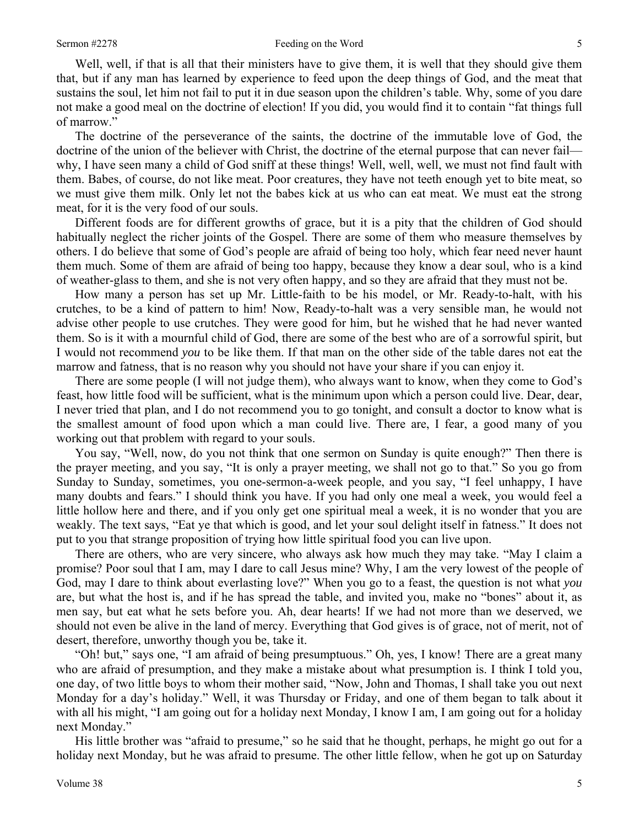Well, well, if that is all that their ministers have to give them, it is well that they should give them that, but if any man has learned by experience to feed upon the deep things of God, and the meat that sustains the soul, let him not fail to put it in due season upon the children's table. Why, some of you dare not make a good meal on the doctrine of election! If you did, you would find it to contain "fat things full of marrow."

The doctrine of the perseverance of the saints, the doctrine of the immutable love of God, the doctrine of the union of the believer with Christ, the doctrine of the eternal purpose that can never fail why, I have seen many a child of God sniff at these things! Well, well, well, we must not find fault with them. Babes, of course, do not like meat. Poor creatures, they have not teeth enough yet to bite meat, so we must give them milk. Only let not the babes kick at us who can eat meat. We must eat the strong meat, for it is the very food of our souls.

Different foods are for different growths of grace, but it is a pity that the children of God should habitually neglect the richer joints of the Gospel. There are some of them who measure themselves by others. I do believe that some of God's people are afraid of being too holy, which fear need never haunt them much. Some of them are afraid of being too happy, because they know a dear soul, who is a kind of weather-glass to them, and she is not very often happy, and so they are afraid that they must not be.

How many a person has set up Mr. Little-faith to be his model, or Mr. Ready-to-halt, with his crutches, to be a kind of pattern to him! Now, Ready-to-halt was a very sensible man, he would not advise other people to use crutches. They were good for him, but he wished that he had never wanted them. So is it with a mournful child of God, there are some of the best who are of a sorrowful spirit, but I would not recommend *you* to be like them. If that man on the other side of the table dares not eat the marrow and fatness, that is no reason why you should not have your share if you can enjoy it.

There are some people (I will not judge them), who always want to know, when they come to God's feast, how little food will be sufficient, what is the minimum upon which a person could live. Dear, dear, I never tried that plan, and I do not recommend you to go tonight, and consult a doctor to know what is the smallest amount of food upon which a man could live. There are, I fear, a good many of you working out that problem with regard to your souls.

You say, "Well, now, do you not think that one sermon on Sunday is quite enough?" Then there is the prayer meeting, and you say, "It is only a prayer meeting, we shall not go to that." So you go from Sunday to Sunday, sometimes, you one-sermon-a-week people, and you say, "I feel unhappy, I have many doubts and fears." I should think you have. If you had only one meal a week, you would feel a little hollow here and there, and if you only get one spiritual meal a week, it is no wonder that you are weakly. The text says, "Eat ye that which is good, and let your soul delight itself in fatness." It does not put to you that strange proposition of trying how little spiritual food you can live upon.

There are others, who are very sincere, who always ask how much they may take. "May I claim a promise? Poor soul that I am, may I dare to call Jesus mine? Why, I am the very lowest of the people of God, may I dare to think about everlasting love?" When you go to a feast, the question is not what *you* are, but what the host is, and if he has spread the table, and invited you, make no "bones" about it, as men say, but eat what he sets before you. Ah, dear hearts! If we had not more than we deserved, we should not even be alive in the land of mercy. Everything that God gives is of grace, not of merit, not of desert, therefore, unworthy though you be, take it.

"Oh! but," says one, "I am afraid of being presumptuous." Oh, yes, I know! There are a great many who are afraid of presumption, and they make a mistake about what presumption is. I think I told you, one day, of two little boys to whom their mother said, "Now, John and Thomas, I shall take you out next Monday for a day's holiday." Well, it was Thursday or Friday, and one of them began to talk about it with all his might, "I am going out for a holiday next Monday, I know I am, I am going out for a holiday next Monday."

His little brother was "afraid to presume," so he said that he thought, perhaps, he might go out for a holiday next Monday, but he was afraid to presume. The other little fellow, when he got up on Saturday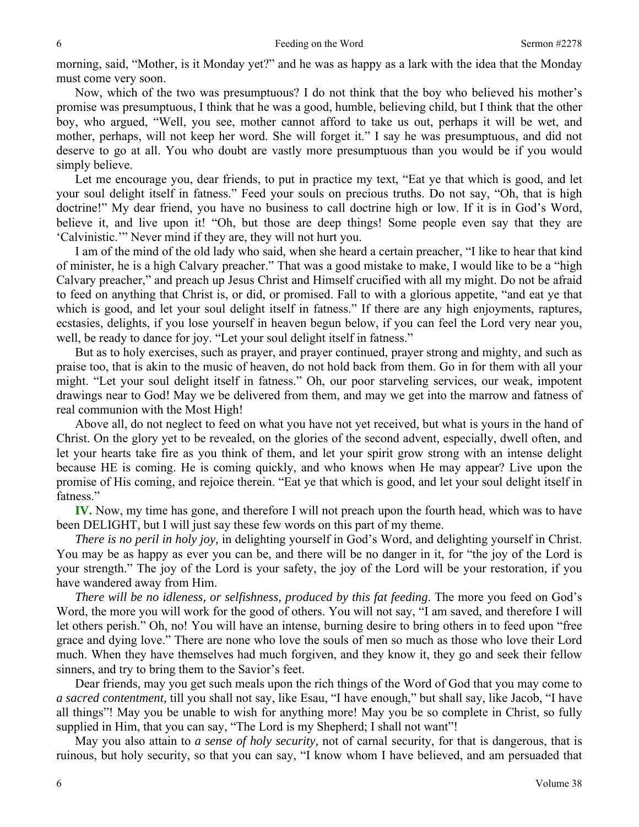morning, said, "Mother, is it Monday yet?" and he was as happy as a lark with the idea that the Monday must come very soon.

Now, which of the two was presumptuous? I do not think that the boy who believed his mother's promise was presumptuous, I think that he was a good, humble, believing child, but I think that the other boy, who argued, "Well, you see, mother cannot afford to take us out, perhaps it will be wet, and mother, perhaps, will not keep her word. She will forget it." I say he was presumptuous, and did not deserve to go at all. You who doubt are vastly more presumptuous than you would be if you would simply believe.

Let me encourage you, dear friends, to put in practice my text, "Eat ye that which is good, and let your soul delight itself in fatness." Feed your souls on precious truths. Do not say, "Oh, that is high doctrine!" My dear friend, you have no business to call doctrine high or low. If it is in God's Word, believe it, and live upon it! "Oh, but those are deep things! Some people even say that they are 'Calvinistic.'" Never mind if they are, they will not hurt you.

I am of the mind of the old lady who said, when she heard a certain preacher, "I like to hear that kind of minister, he is a high Calvary preacher." That was a good mistake to make, I would like to be a "high Calvary preacher," and preach up Jesus Christ and Himself crucified with all my might. Do not be afraid to feed on anything that Christ is, or did, or promised. Fall to with a glorious appetite, "and eat ye that which is good, and let your soul delight itself in fatness." If there are any high enjoyments, raptures, ecstasies, delights, if you lose yourself in heaven begun below, if you can feel the Lord very near you, well, be ready to dance for joy. "Let your soul delight itself in fatness."

But as to holy exercises, such as prayer, and prayer continued, prayer strong and mighty, and such as praise too, that is akin to the music of heaven, do not hold back from them. Go in for them with all your might. "Let your soul delight itself in fatness." Oh, our poor starveling services, our weak, impotent drawings near to God! May we be delivered from them, and may we get into the marrow and fatness of real communion with the Most High!

Above all, do not neglect to feed on what you have not yet received, but what is yours in the hand of Christ. On the glory yet to be revealed, on the glories of the second advent, especially, dwell often, and let your hearts take fire as you think of them, and let your spirit grow strong with an intense delight because HE is coming. He is coming quickly, and who knows when He may appear? Live upon the promise of His coming, and rejoice therein. "Eat ye that which is good, and let your soul delight itself in fatness."

**IV.** Now, my time has gone, and therefore I will not preach upon the fourth head, which was to have been DELIGHT, but I will just say these few words on this part of my theme.

*There is no peril in holy joy,* in delighting yourself in God's Word, and delighting yourself in Christ. You may be as happy as ever you can be, and there will be no danger in it, for "the joy of the Lord is your strength." The joy of the Lord is your safety, the joy of the Lord will be your restoration, if you have wandered away from Him.

*There will be no idleness, or selfishness, produced by this fat feeding*. The more you feed on God's Word, the more you will work for the good of others. You will not say, "I am saved, and therefore I will let others perish." Oh, no! You will have an intense, burning desire to bring others in to feed upon "free grace and dying love." There are none who love the souls of men so much as those who love their Lord much. When they have themselves had much forgiven, and they know it, they go and seek their fellow sinners, and try to bring them to the Savior's feet.

Dear friends, may you get such meals upon the rich things of the Word of God that you may come to *a sacred contentment,* till you shall not say, like Esau, "I have enough," but shall say, like Jacob, "I have all things"! May you be unable to wish for anything more! May you be so complete in Christ, so fully supplied in Him, that you can say, "The Lord is my Shepherd; I shall not want"!

May you also attain to *a sense of holy security,* not of carnal security, for that is dangerous, that is ruinous, but holy security, so that you can say, "I know whom I have believed, and am persuaded that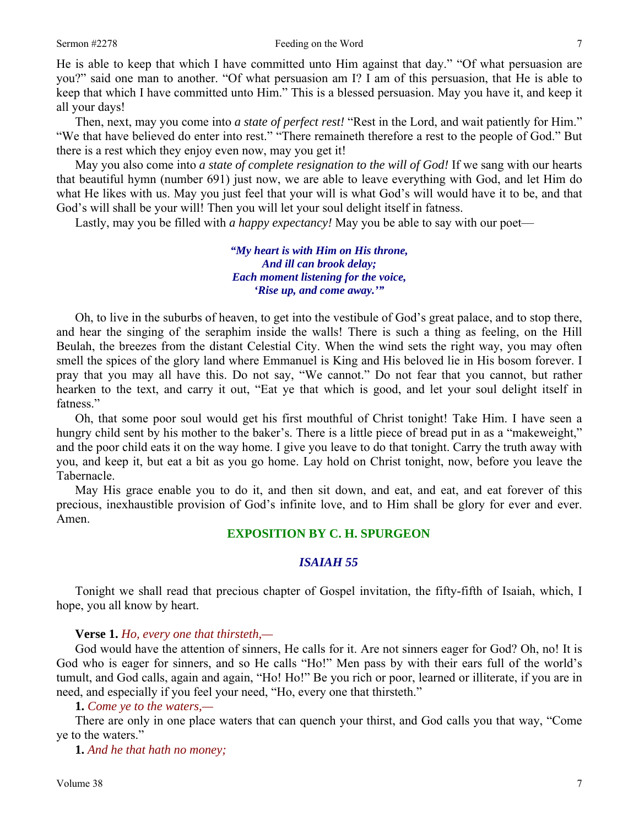He is able to keep that which I have committed unto Him against that day." "Of what persuasion are you?" said one man to another. "Of what persuasion am I? I am of this persuasion, that He is able to keep that which I have committed unto Him." This is a blessed persuasion. May you have it, and keep it all your days!

Then, next, may you come into *a state of perfect rest!* "Rest in the Lord, and wait patiently for Him." "We that have believed do enter into rest." "There remaineth therefore a rest to the people of God." But there is a rest which they enjoy even now, may you get it!

May you also come into *a state of complete resignation to the will of God!* If we sang with our hearts that beautiful hymn (number 691) just now, we are able to leave everything with God, and let Him do what He likes with us. May you just feel that your will is what God's will would have it to be, and that God's will shall be your will! Then you will let your soul delight itself in fatness.

Lastly, may you be filled with *a happy expectancy!* May you be able to say with our poet—

*"My heart is with Him on His throne, And ill can brook delay; Each moment listening for the voice, 'Rise up, and come away.'"* 

Oh, to live in the suburbs of heaven, to get into the vestibule of God's great palace, and to stop there, and hear the singing of the seraphim inside the walls! There is such a thing as feeling, on the Hill Beulah, the breezes from the distant Celestial City. When the wind sets the right way, you may often smell the spices of the glory land where Emmanuel is King and His beloved lie in His bosom forever. I pray that you may all have this. Do not say, "We cannot." Do not fear that you cannot, but rather hearken to the text, and carry it out, "Eat ye that which is good, and let your soul delight itself in fatness."

Oh, that some poor soul would get his first mouthful of Christ tonight! Take Him. I have seen a hungry child sent by his mother to the baker's. There is a little piece of bread put in as a "makeweight," and the poor child eats it on the way home. I give you leave to do that tonight. Carry the truth away with you, and keep it, but eat a bit as you go home. Lay hold on Christ tonight, now, before you leave the Tabernacle.

May His grace enable you to do it, and then sit down, and eat, and eat, and eat forever of this precious, inexhaustible provision of God's infinite love, and to Him shall be glory for ever and ever. Amen.

## **EXPOSITION BY C. H. SPURGEON**

## *ISAIAH 55*

Tonight we shall read that precious chapter of Gospel invitation, the fifty-fifth of Isaiah, which, I hope, you all know by heart.

#### **Verse 1.** *Ho, every one that thirsteth,—*

God would have the attention of sinners, He calls for it. Are not sinners eager for God? Oh, no! It is God who is eager for sinners, and so He calls "Ho!" Men pass by with their ears full of the world's tumult, and God calls, again and again, "Ho! Ho!" Be you rich or poor, learned or illiterate, if you are in need, and especially if you feel your need, "Ho, every one that thirsteth."

**1.** *Come ye to the waters,—*

There are only in one place waters that can quench your thirst, and God calls you that way, "Come ye to the waters."

**1.** *And he that hath no money;*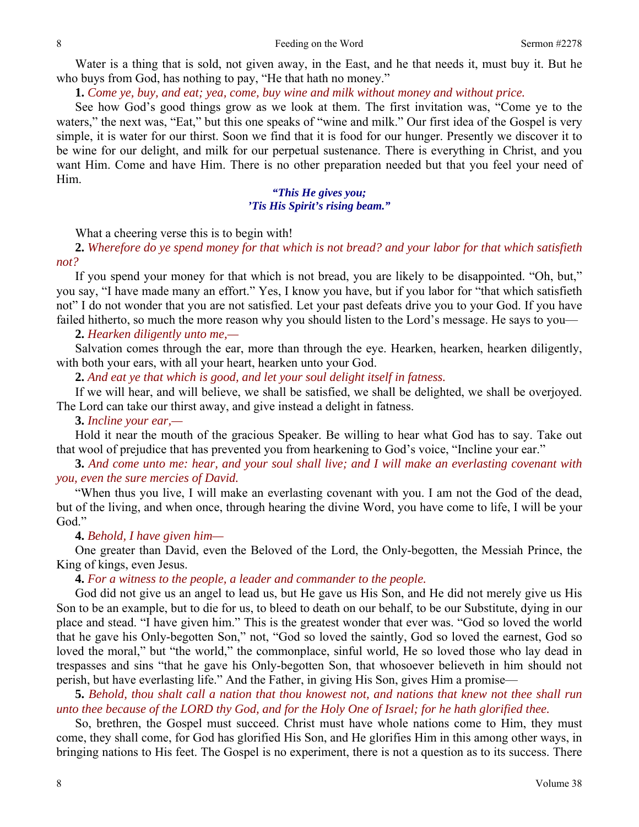Water is a thing that is sold, not given away, in the East, and he that needs it, must buy it. But he who buys from God, has nothing to pay, "He that hath no money."

**1.** *Come ye, buy, and eat; yea, come, buy wine and milk without money and without price.*

See how God's good things grow as we look at them. The first invitation was, "Come ye to the waters," the next was, "Eat," but this one speaks of "wine and milk." Our first idea of the Gospel is very simple, it is water for our thirst. Soon we find that it is food for our hunger. Presently we discover it to be wine for our delight, and milk for our perpetual sustenance. There is everything in Christ, and you want Him. Come and have Him. There is no other preparation needed but that you feel your need of Him.

## *"This He gives you; 'Tis His Spirit's rising beam."*

What a cheering verse this is to begin with!

**2.** *Wherefore do ye spend money for that which is not bread? and your labor for that which satisfieth not?*

If you spend your money for that which is not bread, you are likely to be disappointed. "Oh, but," you say, "I have made many an effort." Yes, I know you have, but if you labor for "that which satisfieth not" I do not wonder that you are not satisfied. Let your past defeats drive you to your God. If you have failed hitherto, so much the more reason why you should listen to the Lord's message. He says to you—

#### **2.** *Hearken diligently unto me,—*

Salvation comes through the ear, more than through the eye. Hearken, hearken, hearken diligently, with both your ears, with all your heart, hearken unto your God.

**2.** *And eat ye that which is good, and let your soul delight itself in fatness.*

If we will hear, and will believe, we shall be satisfied, we shall be delighted, we shall be overjoyed. The Lord can take our thirst away, and give instead a delight in fatness.

#### **3.** *Incline your ear,—*

Hold it near the mouth of the gracious Speaker. Be willing to hear what God has to say. Take out that wool of prejudice that has prevented you from hearkening to God's voice, "Incline your ear."

**3.** *And come unto me: hear, and your soul shall live; and I will make an everlasting covenant with you, even the sure mercies of David.*

"When thus you live, I will make an everlasting covenant with you. I am not the God of the dead, but of the living, and when once, through hearing the divine Word, you have come to life, I will be your God."

#### **4.** *Behold, I have given him—*

One greater than David, even the Beloved of the Lord, the Only-begotten, the Messiah Prince, the King of kings, even Jesus.

**4.** *For a witness to the people, a leader and commander to the people.*

God did not give us an angel to lead us, but He gave us His Son, and He did not merely give us His Son to be an example, but to die for us, to bleed to death on our behalf, to be our Substitute, dying in our place and stead. "I have given him." This is the greatest wonder that ever was. "God so loved the world that he gave his Only-begotten Son," not, "God so loved the saintly, God so loved the earnest, God so loved the moral," but "the world," the commonplace, sinful world, He so loved those who lay dead in trespasses and sins "that he gave his Only-begotten Son, that whosoever believeth in him should not perish, but have everlasting life." And the Father, in giving His Son, gives Him a promise—

**5.** *Behold, thou shalt call a nation that thou knowest not, and nations that knew not thee shall run unto thee because of the LORD thy God, and for the Holy One of Israel; for he hath glorified thee.*

So, brethren, the Gospel must succeed. Christ must have whole nations come to Him, they must come, they shall come, for God has glorified His Son, and He glorifies Him in this among other ways, in bringing nations to His feet. The Gospel is no experiment, there is not a question as to its success. There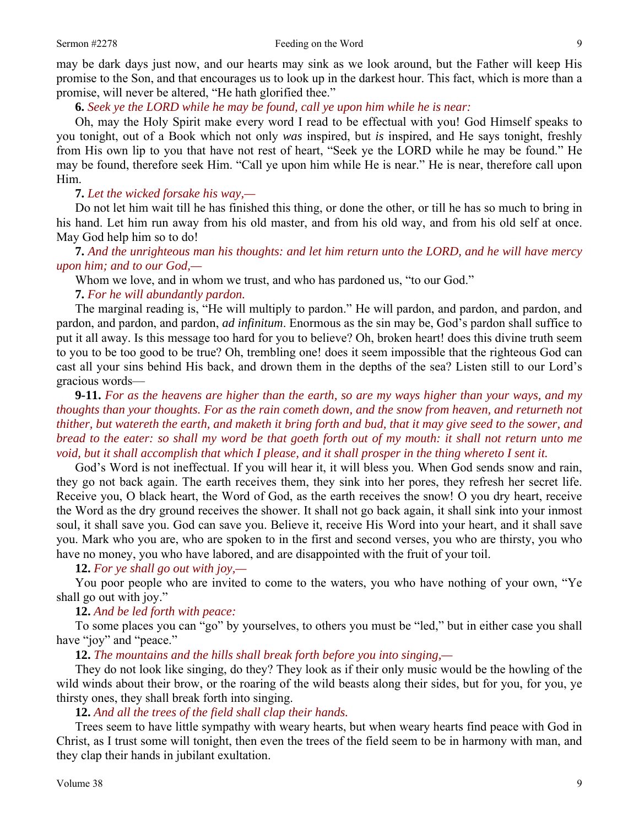may be dark days just now, and our hearts may sink as we look around, but the Father will keep His promise to the Son, and that encourages us to look up in the darkest hour. This fact, which is more than a promise, will never be altered, "He hath glorified thee."

**6.** *Seek ye the LORD while he may be found, call ye upon him while he is near:*

Oh, may the Holy Spirit make every word I read to be effectual with you! God Himself speaks to you tonight, out of a Book which not only *was* inspired, but *is* inspired, and He says tonight, freshly from His own lip to you that have not rest of heart, "Seek ye the LORD while he may be found." He may be found, therefore seek Him. "Call ye upon him while He is near." He is near, therefore call upon Him.

**7.** *Let the wicked forsake his way,—*

Do not let him wait till he has finished this thing, or done the other, or till he has so much to bring in his hand. Let him run away from his old master, and from his old way, and from his old self at once. May God help him so to do!

**7.** *And the unrighteous man his thoughts: and let him return unto the LORD, and he will have mercy upon him; and to our God,—*

Whom we love, and in whom we trust, and who has pardoned us, "to our God."

**7.** *For he will abundantly pardon.* 

The marginal reading is, "He will multiply to pardon." He will pardon, and pardon, and pardon, and pardon, and pardon, and pardon, *ad infinitum*. Enormous as the sin may be, God's pardon shall suffice to put it all away. Is this message too hard for you to believe? Oh, broken heart! does this divine truth seem to you to be too good to be true? Oh, trembling one! does it seem impossible that the righteous God can cast all your sins behind His back, and drown them in the depths of the sea? Listen still to our Lord's gracious words—

**9-11.** *For as the heavens are higher than the earth, so are my ways higher than your ways, and my thoughts than your thoughts. For as the rain cometh down, and the snow from heaven, and returneth not thither, but watereth the earth, and maketh it bring forth and bud, that it may give seed to the sower, and bread to the eater: so shall my word be that goeth forth out of my mouth: it shall not return unto me void, but it shall accomplish that which I please, and it shall prosper in the thing whereto I sent it.*

God's Word is not ineffectual. If you will hear it, it will bless you. When God sends snow and rain, they go not back again. The earth receives them, they sink into her pores, they refresh her secret life. Receive you, O black heart, the Word of God, as the earth receives the snow! O you dry heart, receive the Word as the dry ground receives the shower. It shall not go back again, it shall sink into your inmost soul, it shall save you. God can save you. Believe it, receive His Word into your heart, and it shall save you. Mark who you are, who are spoken to in the first and second verses, you who are thirsty, you who have no money, you who have labored, and are disappointed with the fruit of your toil.

**12.** *For ye shall go out with joy,—*

You poor people who are invited to come to the waters, you who have nothing of your own, "Ye shall go out with joy."

## **12.** *And be led forth with peace:*

To some places you can "go" by yourselves, to others you must be "led," but in either case you shall have "joy" and "peace."

**12.** *The mountains and the hills shall break forth before you into singing,—*

They do not look like singing, do they? They look as if their only music would be the howling of the wild winds about their brow, or the roaring of the wild beasts along their sides, but for you, for you, ye thirsty ones, they shall break forth into singing.

**12.** *And all the trees of the field shall clap their hands.* 

Trees seem to have little sympathy with weary hearts, but when weary hearts find peace with God in Christ, as I trust some will tonight, then even the trees of the field seem to be in harmony with man, and they clap their hands in jubilant exultation.